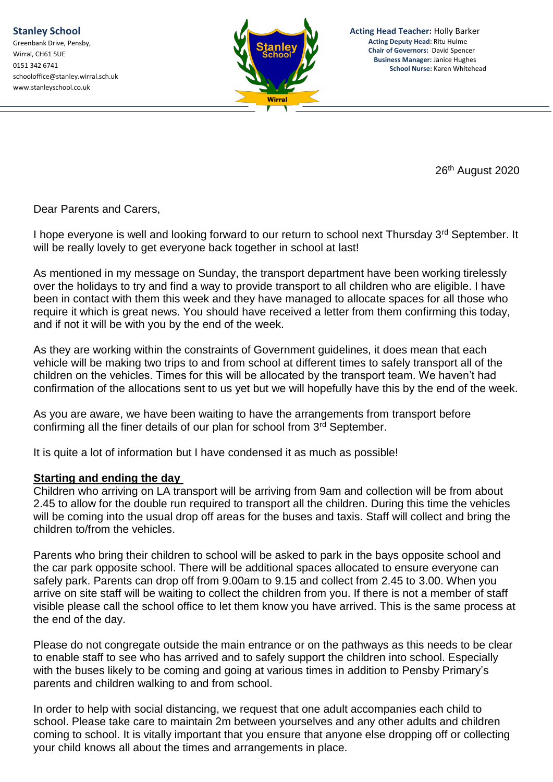

**Acting Head Teacher:** Holly Barker **Acting Deputy Head:** Ritu Hulme **Chair of Governors:** David Spencer **Business Manager:** Janice Hughes **School Nurse:** Karen Whitehead

26 th August 2020

Dear Parents and Carers,

I hope everyone is well and looking forward to our return to school next Thursday 3rd September. It will be really lovely to get everyone back together in school at last!

As mentioned in my message on Sunday, the transport department have been working tirelessly over the holidays to try and find a way to provide transport to all children who are eligible. I have been in contact with them this week and they have managed to allocate spaces for all those who require it which is great news. You should have received a letter from them confirming this today, and if not it will be with you by the end of the week.

As they are working within the constraints of Government guidelines, it does mean that each vehicle will be making two trips to and from school at different times to safely transport all of the children on the vehicles. Times for this will be allocated by the transport team. We haven't had confirmation of the allocations sent to us yet but we will hopefully have this by the end of the week.

As you are aware, we have been waiting to have the arrangements from transport before confirming all the finer details of our plan for school from 3<sup>rd</sup> September.

It is quite a lot of information but I have condensed it as much as possible!

## **Starting and ending the day**

Children who arriving on LA transport will be arriving from 9am and collection will be from about 2.45 to allow for the double run required to transport all the children. During this time the vehicles will be coming into the usual drop off areas for the buses and taxis. Staff will collect and bring the children to/from the vehicles.

Parents who bring their children to school will be asked to park in the bays opposite school and the car park opposite school. There will be additional spaces allocated to ensure everyone can safely park. Parents can drop off from 9.00am to 9.15 and collect from 2.45 to 3.00. When you arrive on site staff will be waiting to collect the children from you. If there is not a member of staff visible please call the school office to let them know you have arrived. This is the same process at the end of the day.

Please do not congregate outside the main entrance or on the pathways as this needs to be clear to enable staff to see who has arrived and to safely support the children into school. Especially with the buses likely to be coming and going at various times in addition to Pensby Primary's parents and children walking to and from school.

In order to help with social distancing, we request that one adult accompanies each child to school. Please take care to maintain 2m between yourselves and any other adults and children coming to school. It is vitally important that you ensure that anyone else dropping off or collecting your child knows all about the times and arrangements in place.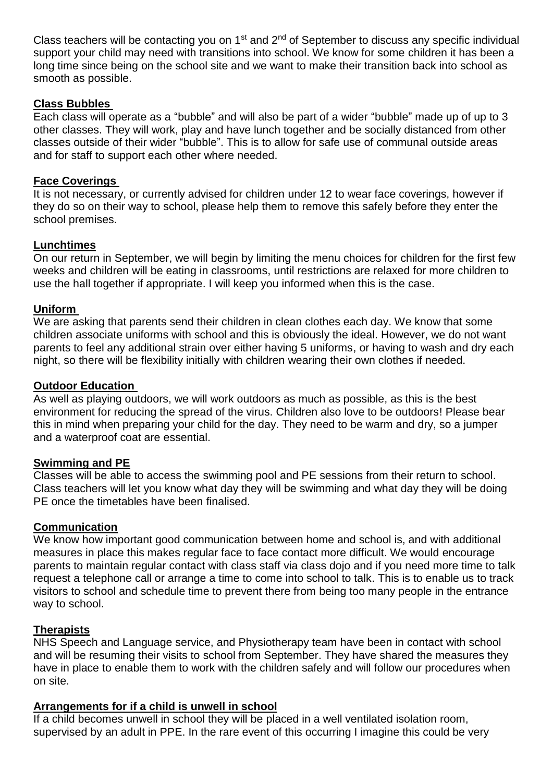Class teachers will be contacting you on  $1<sup>st</sup>$  and  $2<sup>nd</sup>$  of September to discuss any specific individual support your child may need with transitions into school. We know for some children it has been a long time since being on the school site and we want to make their transition back into school as smooth as possible.

### **Class Bubbles**

Each class will operate as a "bubble" and will also be part of a wider "bubble" made up of up to 3 other classes. They will work, play and have lunch together and be socially distanced from other classes outside of their wider "bubble". This is to allow for safe use of communal outside areas and for staff to support each other where needed.

### **Face Coverings**

It is not necessary, or currently advised for children under 12 to wear face coverings, however if they do so on their way to school, please help them to remove this safely before they enter the school premises.

### **Lunchtimes**

On our return in September, we will begin by limiting the menu choices for children for the first few weeks and children will be eating in classrooms, until restrictions are relaxed for more children to use the hall together if appropriate. I will keep you informed when this is the case.

### **Uniform**

We are asking that parents send their children in clean clothes each day. We know that some children associate uniforms with school and this is obviously the ideal. However, we do not want parents to feel any additional strain over either having 5 uniforms, or having to wash and dry each night, so there will be flexibility initially with children wearing their own clothes if needed.

### **Outdoor Education**

As well as playing outdoors, we will work outdoors as much as possible, as this is the best environment for reducing the spread of the virus. Children also love to be outdoors! Please bear this in mind when preparing your child for the day. They need to be warm and dry, so a jumper and a waterproof coat are essential.

#### **Swimming and PE**

Classes will be able to access the swimming pool and PE sessions from their return to school. Class teachers will let you know what day they will be swimming and what day they will be doing PE once the timetables have been finalised.

### **Communication**

We know how important good communication between home and school is, and with additional measures in place this makes regular face to face contact more difficult. We would encourage parents to maintain regular contact with class staff via class dojo and if you need more time to talk request a telephone call or arrange a time to come into school to talk. This is to enable us to track visitors to school and schedule time to prevent there from being too many people in the entrance way to school.

#### **Therapists**

NHS Speech and Language service, and Physiotherapy team have been in contact with school and will be resuming their visits to school from September. They have shared the measures they have in place to enable them to work with the children safely and will follow our procedures when on site.

#### **Arrangements for if a child is unwell in school**

If a child becomes unwell in school they will be placed in a well ventilated isolation room, supervised by an adult in PPE. In the rare event of this occurring I imagine this could be very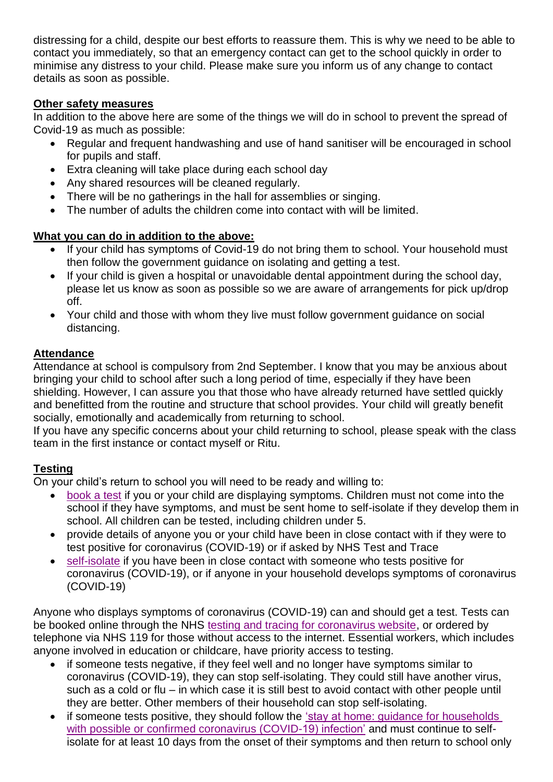distressing for a child, despite our best efforts to reassure them. This is why we need to be able to contact you immediately, so that an emergency contact can get to the school quickly in order to minimise any distress to your child. Please make sure you inform us of any change to contact details as soon as possible.

## **Other safety measures**

In addition to the above here are some of the things we will do in school to prevent the spread of Covid-19 as much as possible:

- Regular and frequent handwashing and use of hand sanitiser will be encouraged in school for pupils and staff.
- Extra cleaning will take place during each school day
- Any shared resources will be cleaned regularly.
- There will be no gatherings in the hall for assemblies or singing.
- The number of adults the children come into contact with will be limited.

# **What you can do in addition to the above:**

- If your child has symptoms of Covid-19 do not bring them to school. Your household must then follow the government guidance on isolating and getting a test.
- If your child is given a hospital or unavoidable dental appointment during the school day, please let us know as soon as possible so we are aware of arrangements for pick up/drop off.
- Your child and those with whom they live must follow government guidance on social distancing.

# **Attendance**

Attendance at school is compulsory from 2nd September. I know that you may be anxious about bringing your child to school after such a long period of time, especially if they have been shielding. However, I can assure you that those who have already returned have settled quickly and benefitted from the routine and structure that school provides. Your child will greatly benefit socially, emotionally and academically from returning to school.

If you have any specific concerns about your child returning to school, please speak with the class team in the first instance or contact myself or Ritu.

# **Testing**

On your child's return to school you will need to be ready and willing to:

- [book a test](https://www.gov.uk/guidance/coronavirus-covid-19-getting-tested) if you or your child are displaying symptoms. Children must not come into the school if they have symptoms, and must be sent home to self-isolate if they develop them in school. All children can be tested, including children under 5.
- provide details of anyone you or your child have been in close contact with if they were to test positive for coronavirus (COVID-19) or if asked by NHS Test and Trace
- [self-isolate](https://www.gov.uk/government/publications/covid-19-stay-at-home-guidance/stay-at-home-guidance-for-households-with-possible-coronavirus-covid-19-infection) if you have been in close contact with someone who tests positive for coronavirus (COVID-19), or if anyone in your household develops symptoms of coronavirus (COVID-19)

Anyone who displays symptoms of coronavirus (COVID-19) can and should get a test. Tests can be booked online through the NHS [testing and tracing for coronavirus website,](https://www.nhs.uk/conditions/coronavirus-covid-19/testing-for-coronavirus/) or ordered by telephone via NHS 119 for those without access to the internet. Essential workers, which includes anyone involved in education or childcare, have priority access to testing.

- if someone tests negative, if they feel well and no longer have symptoms similar to coronavirus (COVID-19), they can stop self-isolating. They could still have another virus, such as a cold or flu – in which case it is still best to avoid contact with other people until they are better. Other members of their household can stop self-isolating.
- if someone tests positive, they should follow the ['stay at home: guidance for households](https://www.gov.uk/government/publications/covid-19-stay-at-home-guidance)  [with possible or confirmed coronavirus \(COVID-19\) infection'](https://www.gov.uk/government/publications/covid-19-stay-at-home-guidance) and must continue to selfisolate for at least 10 days from the onset of their symptoms and then return to school only